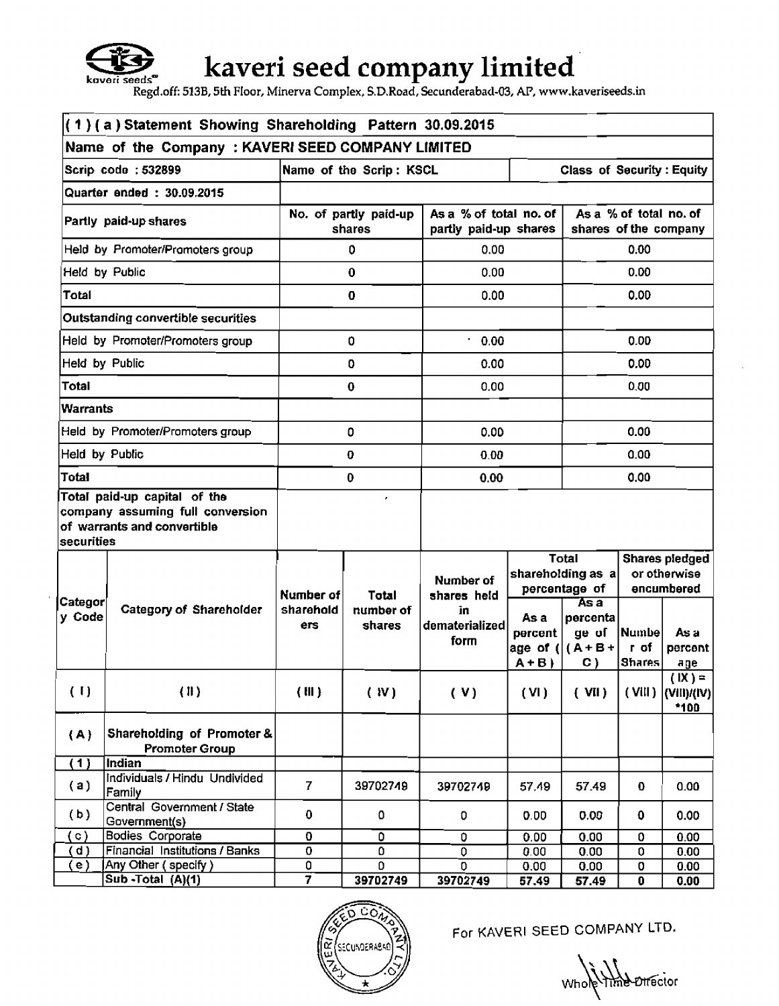

## kaveri seed company limited

**Regdoff: 513B, 5th** Floor, **Minerva CompIex, S.D.Road, Secunderabad-03, AP, www.kaveriseeds.in** 

| $(1)(a)$ Statement Showing Shareholding Pattern 30.09.2015 |                                                                                                 |                |                                                             |                |                                                 |                                    |                                                 |                                               |  |
|------------------------------------------------------------|-------------------------------------------------------------------------------------------------|----------------|-------------------------------------------------------------|----------------|-------------------------------------------------|------------------------------------|-------------------------------------------------|-----------------------------------------------|--|
| Name of the Company: KAVERI SEED COMPANY LIMITED           |                                                                                                 |                |                                                             |                |                                                 |                                    |                                                 |                                               |  |
|                                                            | Scrip code: 532899                                                                              |                | <b>Class of Security: Equity</b><br>Name of the Scrip: KSCL |                |                                                 |                                    |                                                 |                                               |  |
|                                                            | Quarter ended: 30.09.2015                                                                       |                |                                                             |                |                                                 |                                    |                                                 |                                               |  |
|                                                            | Partly paid-up shares                                                                           |                | No. of partly paid-up<br>shares                             |                | As a % of total no. of<br>partly paid-up shares |                                    | As a % of total no. of<br>shares of the company |                                               |  |
|                                                            | Held by Promoter/Promoters group                                                                |                | ٥                                                           | 0.00           |                                                 |                                    | 0.00                                            |                                               |  |
|                                                            | Held by Public                                                                                  |                | $\bf{0}$                                                    | 0.00           |                                                 |                                    | 0.00                                            |                                               |  |
| <b>Total</b>                                               |                                                                                                 |                | 0                                                           | 0.00           |                                                 |                                    | 0.00                                            |                                               |  |
|                                                            | Outstanding convertible securities                                                              |                |                                                             |                |                                                 |                                    |                                                 |                                               |  |
|                                                            | Held by Promoter/Promoters group                                                                |                | 0                                                           | 0.00           |                                                 |                                    | 0.00                                            |                                               |  |
| Held by Public                                             |                                                                                                 |                | 0                                                           | 0.00           |                                                 |                                    | 0.00                                            |                                               |  |
| Total                                                      |                                                                                                 |                | 0                                                           | 0.00           |                                                 |                                    | 0.00                                            |                                               |  |
| <b>Warrants</b>                                            |                                                                                                 |                |                                                             |                |                                                 |                                    |                                                 |                                               |  |
|                                                            | Held by Promoter/Promoters group                                                                |                | 0                                                           | 0.00           |                                                 |                                    | 0.00                                            |                                               |  |
| Held by Public                                             |                                                                                                 | $\bf{0}$       |                                                             | 0.00           |                                                 | 0.00                               |                                                 |                                               |  |
| <b>Total</b>                                               |                                                                                                 | 0              |                                                             | 0.00           |                                                 | 0.00                               |                                                 |                                               |  |
| <b>securities</b>                                          | Total paid-up capital of the<br>company assuming full conversion<br>of warrants and convertible |                |                                                             |                |                                                 |                                    |                                                 |                                               |  |
|                                                            |                                                                                                 |                |                                                             |                |                                                 | <b>Total</b>                       |                                                 | Shares pledged                                |  |
|                                                            |                                                                                                 |                | <b>Total</b><br>number of<br>shares                         | Number of      |                                                 | shareholding as a<br>percentage of | or otherwise<br>encumbered                      |                                               |  |
| Categor∣                                                   |                                                                                                 | Number of      |                                                             | shares held    |                                                 | As a                               |                                                 |                                               |  |
| y Code                                                     | <b>Category of Shareholder</b>                                                                  | sharehold      |                                                             | ĩn             | As a                                            | percenta                           |                                                 |                                               |  |
|                                                            |                                                                                                 | ers            |                                                             | dematerialized | percent                                         | ge of                              | Numbel                                          | As a                                          |  |
|                                                            |                                                                                                 |                |                                                             | form           |                                                 | age of $( (A+B +$                  | r of                                            | percent                                       |  |
|                                                            |                                                                                                 |                |                                                             |                | $A + B$                                         | C)                                 | <b>Shares</b>                                   | age                                           |  |
| (1)                                                        | (1)                                                                                             | (III)          | (W)                                                         | (V)            | (VI)                                            | $($ VII $)$                        |                                                 | $(1X) =$<br>$(VIII)$ $ VIII /(IV) $<br>$*100$ |  |
| (A)                                                        | Shareholding of Promoter &<br><b>Promoter Group</b>                                             |                |                                                             |                |                                                 |                                    |                                                 |                                               |  |
| (1)                                                        | Indian                                                                                          |                |                                                             |                |                                                 |                                    |                                                 |                                               |  |
| (a)                                                        | Individuals / Hindu Undivided<br>Family                                                         | $\overline{I}$ | 39702749                                                    | 39702749       | 57.49                                           | 57.49                              | 0.                                              | 0.00                                          |  |
| (b)                                                        | Central Government / State<br>Government(s)                                                     | 0              | 0                                                           | 0              | 0.00                                            | 0.00                               | 0                                               | 0.00                                          |  |
| $\circ$ )                                                  | Bodies Corporate                                                                                | 0              | 0                                                           | 0              | 0.00                                            | 0.00                               | 0                                               | 0.00                                          |  |
| d)                                                         | Financial Institutions / Banks                                                                  | 0              | 0                                                           | 0              | 0.00                                            | 0.00                               | 0                                               | 0.00                                          |  |
| e)                                                         | Any Other (specify)                                                                             | 0              | 0                                                           | $\mathbf 0$    | 0.00                                            | 0.00                               | 0                                               | 0.00                                          |  |
|                                                            | $\overline{\text{Sub-Total}}$ $(A)(1)$                                                          | 7              | 39702749                                                    | 39702749       | 57.49                                           | 57.49                              | 0                                               | 0.00                                          |  |
|                                                            |                                                                                                 |                |                                                             |                |                                                 |                                    |                                                 |                                               |  |



For KAVERI SEED COMPANY LTD.

Whole Time Director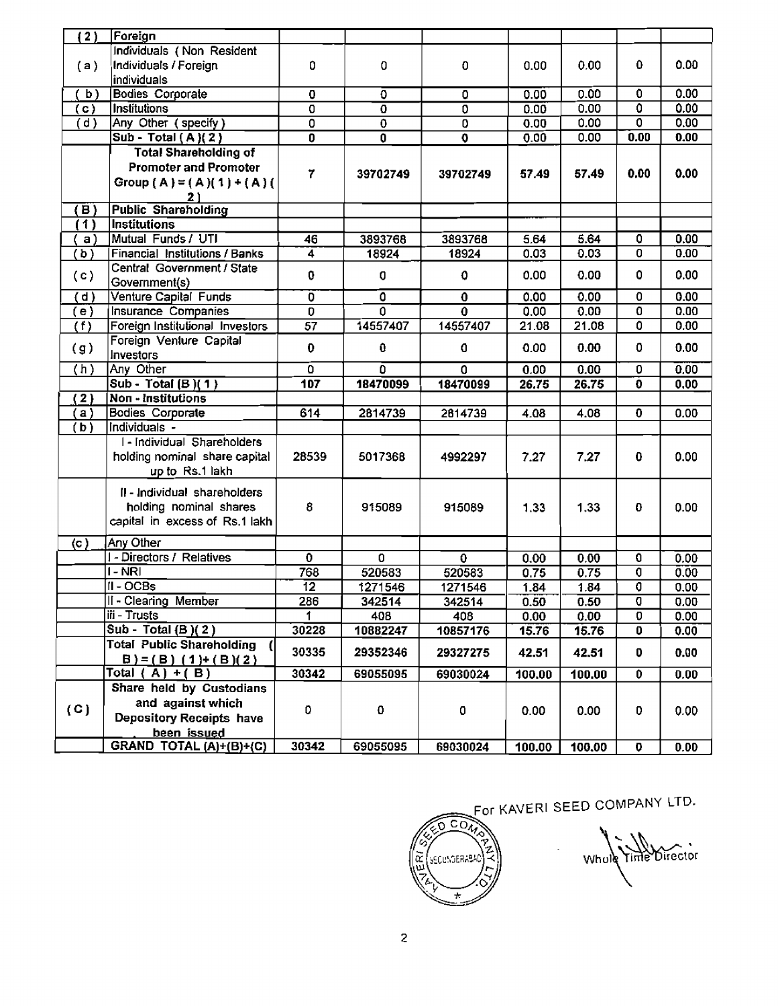| (2)       | Foreign                          |                           |                           |                         |        |                 |                           |      |
|-----------|----------------------------------|---------------------------|---------------------------|-------------------------|--------|-----------------|---------------------------|------|
|           | Individuals (Non Resident        |                           |                           |                         |        |                 |                           |      |
| (a)       | Individuals / Foreign            | 0                         | 0                         | $\bf{0}$                | 0.00   | 0.00            | 0                         | 0.00 |
|           | individuals                      |                           |                           |                         |        |                 |                           |      |
| b)        | <b>Bodies Corporate</b>          | 0                         | ō                         | $\overline{0}$          | 0.00   | 0.00            | 0                         | 0.00 |
| (c)       | Institutions                     | $\overline{\mathfrak{o}}$ | $\overline{\mathfrak{o}}$ | $\overline{0}$          | 0.00   | 0.00            | $\overline{\mathfrak{o}}$ | 0.00 |
| (d)       | Any Other (specify)              | ō                         | $\overline{\mathfrak{o}}$ |                         |        | 0.00            | 0                         | 0.00 |
|           |                                  |                           |                           | 0                       | 0.00   |                 |                           |      |
|           | Sub - Total $(A)(2)$             | $\overline{\mathbf{0}}$   | 0                         | $\overline{\mathbf{0}}$ | 0.00   | 0.00            | 0.00                      | 0.00 |
|           | <b>Total Shareholding of</b>     |                           |                           |                         |        |                 |                           |      |
|           | <b>Promoter and Promoter</b>     | 7                         | 39702749                  | 39702749                | 57.49  | 57.49           | 0.00                      | 0.00 |
|           | Group (A) = (A)(1) + (A)(        |                           |                           |                         |        |                 |                           |      |
|           | <u>21</u>                        |                           |                           |                         |        |                 |                           |      |
| (B)       | <b>Public Shareholding</b>       |                           |                           |                         |        |                 |                           |      |
| (1)       | <b>Institutions</b>              |                           |                           |                         |        |                 |                           |      |
| a)        | Mutual Funds / UTI               | 46                        | 3893768                   | 3893768                 | 5.64   | 5.64            | 0                         | 0.00 |
| (b)       | Financial Institutions / Banks   | 4                         | 18924                     | 18924                   | 0.03   | 0.03            | 0                         | 0.00 |
|           | Central Government / State       |                           |                           |                         |        |                 |                           |      |
| (c)       | Government(s)                    | 0                         | O                         | 0                       | 0.00   | 0.00            | 0                         | 0.00 |
| (d)       | Venture Capital Funds            | Ö                         | $\overline{\mathbf{0}}$   | $\overline{\mathbf{0}}$ | 0.00   | 0.00            | 0                         | 0.00 |
| (e)       | Insurance Companies              | D.                        | $\overline{0}$            | $\mathbf 0$             | 0.00   | 0.00            | $\overline{\mathfrak{o}}$ | 0.00 |
| (f)       | Foreign Institutional Investors  | $\overline{57}$           | 14557407                  | 14557407                | 21.08  | 21.08           | $\overline{0}$            | 0.00 |
|           | Foreign Venture Capital          |                           |                           |                         |        |                 |                           |      |
| (g)       | Investors                        | 0                         | $\bf{0}$                  | 0                       | 0.00   | 0.00            | 0                         | 0.00 |
| (h)       | Any Other                        | 0                         | ō                         | $\Omega$                | 0.00   | 0.00            | $\overline{0}$            | 0.00 |
|           | Sub - Total (B)(1)               | 107                       | 18470099                  | 18470099                | 26.75  | 26.75           | o                         | 0.00 |
| (2)       | Non - Institutions               |                           |                           |                         |        |                 |                           |      |
| (a)       | Bodies Corporate                 | 614                       | 2814739                   | 2814739                 | 4.08   | 4.08            | $\mathbf 0$               | 0.00 |
|           | Individuals -                    |                           |                           |                         |        |                 |                           |      |
| (b)       | I - Individual Shareholders      |                           |                           |                         |        |                 |                           |      |
|           |                                  |                           |                           |                         |        |                 |                           |      |
|           | holding nominal share capital    | 28539                     | 5017368                   | 4992297                 | 7.27   | 7.27            | 0                         | 0.00 |
|           | up to Rs.1 lakh                  |                           |                           |                         |        |                 |                           |      |
|           | II - Individual shareholders     |                           |                           |                         |        |                 |                           |      |
|           | holding nominal shares           | 8                         | 915089                    | 915089                  | 1.33   | 1.33            | 0                         | 0.00 |
|           | capital in excess of Rs.1 lakh   |                           |                           |                         |        |                 |                           |      |
|           |                                  |                           |                           |                         |        |                 |                           |      |
| $\circ$ ) | Any Other                        |                           |                           |                         |        |                 |                           |      |
|           | I - Directors / Relatives        | $\bf{0}$                  | $\Omega$                  | 0                       | 0.00   | 0.00            | 0                         | 0.00 |
|           | I - NRI                          | 768                       | 520583                    | 520583                  | 0.75   | 0.75            | 0                         | 0.00 |
|           | $II - OCBs$                      | $\overline{12}$           | 1271546                   | 1271546                 | 1.84   | 1.84            | O                         | 0.00 |
|           | II - Clearing Member             | 286                       | 342514                    | 342514                  | 0.50   | 0.50            | o                         | 0.00 |
|           | iii - Trusts                     | $\uparrow$                | 408                       | 408                     | 0.00   | 0.00            | $\overline{\mathfrak{o}}$ | 0.00 |
|           | Sub - Total $(B)(2)$             | 30228                     | 10882247                  | 10857176                | 15.76  | 15.76           | O                         | 0.00 |
|           | <b>Total Public Shareholding</b> |                           |                           |                         |        |                 |                           |      |
|           | $B$ ) = (B) (1) + (B)(2)         | 30335                     | 29352346                  | 29327275                | 42.51  | 42.51           | D                         | 0.00 |
|           | Total $(\overline{A}) + (B)$     | 30342                     | 69055095                  | 69030024                | 100.00 | 100.00          | $\overline{\mathbf{0}}$   | 0.00 |
|           | Share held by Custodians         |                           |                           |                         |        |                 |                           |      |
|           | and against which                |                           |                           |                         |        |                 |                           |      |
| (C)       | <b>Depository Receipts have</b>  | 0                         | 0                         | 0                       | 0.00   | 0.00            | D                         | 0.00 |
|           | been issued                      |                           |                           |                         |        |                 |                           |      |
|           | GRAND TOTAL $(A)+(B)+(C)$        | 30342                     | 69055095                  | 69030024                |        | 100.00   100.00 | 0                         | 0.00 |

For KAVERI SEED COMPANY LTD.

তিক্রী  $\frac{1}{2}$ SECUNDERABAD آية  $\pm$ 

Whole Time Director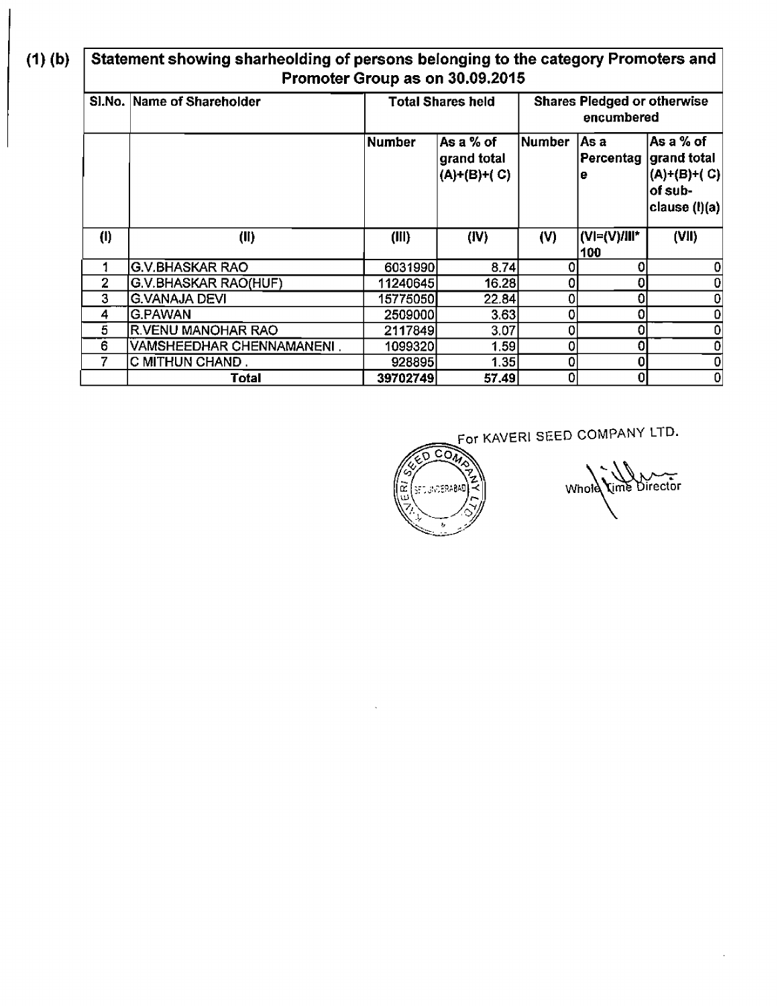$(1)$  (b)

**Statement showing sharheolding of persons belonging to the category Promoters and Promoter Group as on 30.09.2015** 

|                | SI.No. Name of Shareholder  | Total Shares held |                                            | <b>Shares Pledged or otherwise</b><br>encumbered |                     |                                                                                   |
|----------------|-----------------------------|-------------------|--------------------------------------------|--------------------------------------------------|---------------------|-----------------------------------------------------------------------------------|
|                |                             | <b>Number</b>     | As a $%$ of<br>grand total<br>(A)+(B)+( C) | <b>Number</b>                                    | As a<br>e           | lAs a % of<br> Percentag  grand total<br>(A)+(B)+( C)<br>of sub-<br>clause (l)(a) |
| (1)            | (II)                        | (III)             | (IV)                                       | (V)                                              | (VI=(V)/III*<br>100 | (VII)                                                                             |
|                | <b>G.V.BHASKAR RAO</b>      | 6031990           | 8,74                                       |                                                  | 0                   |                                                                                   |
| $\overline{2}$ | <b>G.V.BHASKAR RAO(HUF)</b> | 11240645          | 16.28                                      | 0                                                |                     |                                                                                   |
| 3              | G.VANAJA DEVI               | 15775050          | 22.84                                      | 0                                                | 0                   |                                                                                   |
| 4              | G.PAWAN                     | 25090001          | 3.63                                       | 0                                                | 0                   |                                                                                   |
| 5              | <b>R.VENU MANOHAR RAO</b>   | 2117849           | 3.07                                       | 0                                                | 0                   |                                                                                   |
| 6              | VAMSHEEDHAR CHENNAMANENI.   | 10993201          | 1.59                                       | 0                                                | 0                   |                                                                                   |
|                | C MITHUN CHAND.             | 928895            | 1.35                                       | 0                                                | 0                   | 0                                                                                 |
|                | Total                       | 39702749          | 57.49                                      | ō                                                | 0                   | 0                                                                                 |



**For KAVERI SEED COMPANY LTD.** 

Whole Lime Director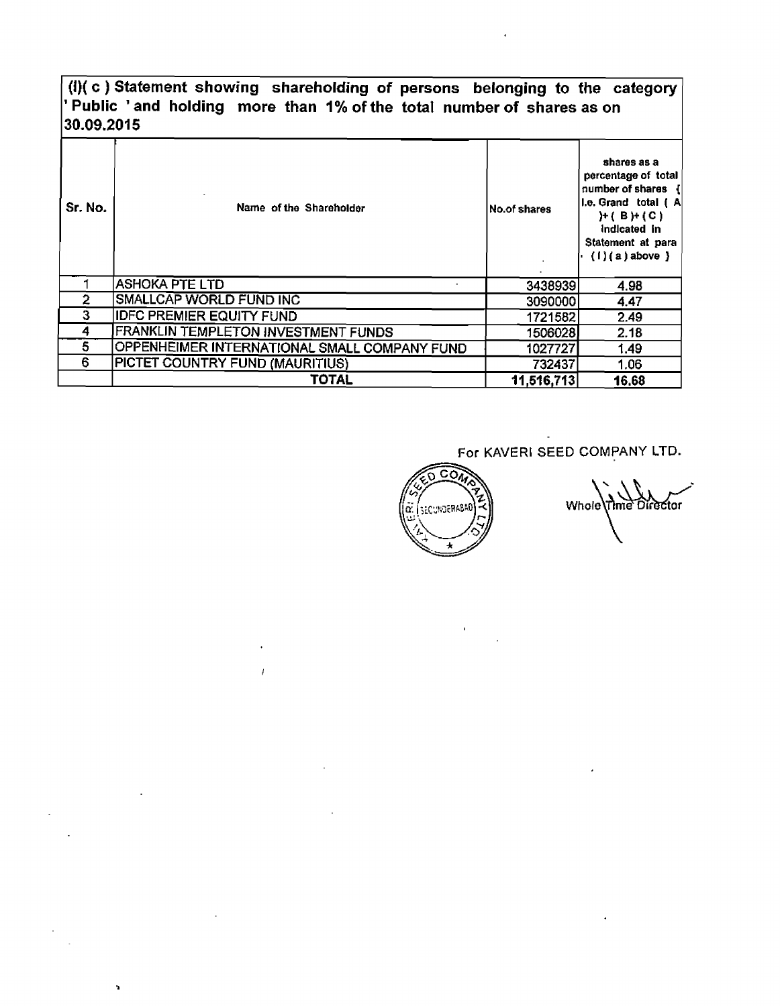## **(I)( c** ) **Statement showing shareholding of persons belonging to the category**  ' **Public** ' **and holding more than I** % **of the totaI number of shares as on 30.09.201 5**

| Sr. No. | Name of the Shareholder                             | No.of shares | shares as a<br>percentage of total<br>number of shares {<br>II.e. Grand total (A<br>H(BH(C))<br>Indicated in<br>Statement at para<br>$(1)(a)$ above $)$ |
|---------|-----------------------------------------------------|--------------|---------------------------------------------------------------------------------------------------------------------------------------------------------|
|         | <b>ASHOKA PTE LTD</b>                               | 3438939      | 4.98                                                                                                                                                    |
| 2       | SMALLCAP WORLD FUND INC                             | 3090000      | 4.47                                                                                                                                                    |
| 3       | <b>IDFC PREMIER EQUITY FUND</b>                     | 1721582      | 2.49                                                                                                                                                    |
| 4       | FRANKLIN TEMPLETON INVESTMENT FUNDS                 | 1506028      | 2.18                                                                                                                                                    |
| 5       | <b>OPPENHEIMER INTERNATIONAL SMALL COMPANY FUND</b> | 1027727      | 1.49                                                                                                                                                    |
| 6       | PICTET COUNTRY FUND (MAURITIUS)                     | 732437       | 1.06                                                                                                                                                    |
|         | TOTAL                                               | 11,516,713   | 16.68                                                                                                                                                   |

 $\bar{I}$ 

 $\mathcal{L}^{\mathcal{L}}$ 

h,

t,

**For KAVERl SEED COMPANY** LTD.

ত্রী SECONDERABAD ō.

Whole Time Director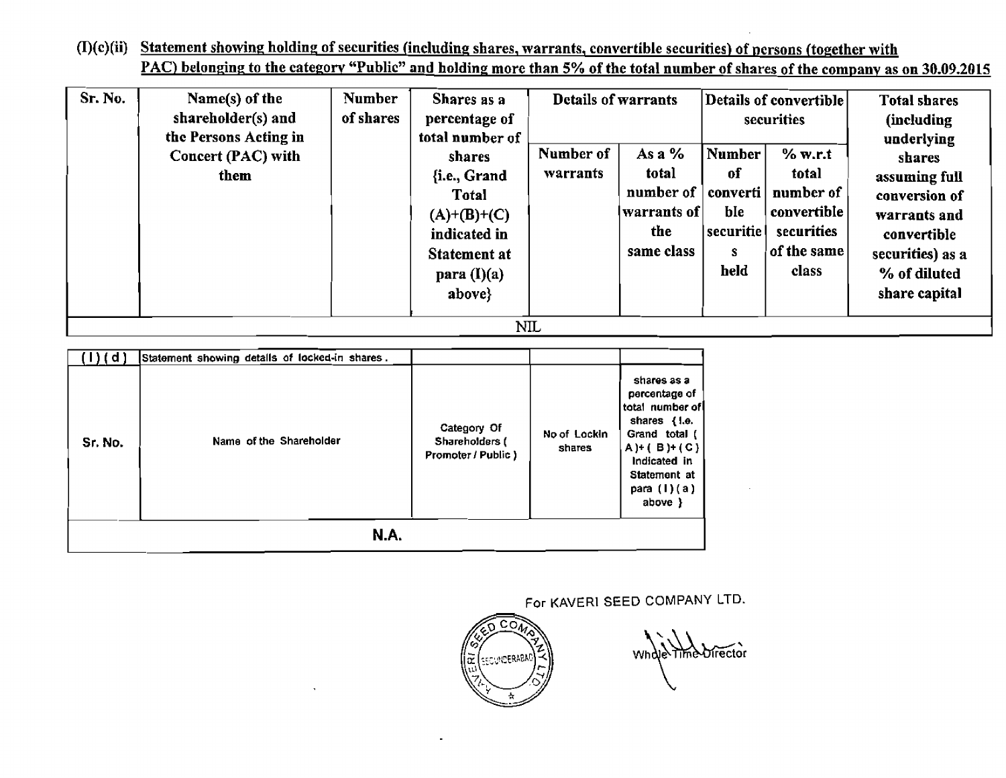**(I)(c)(ii) Statement showing holding of securities (including, shares, warrants,** convertible **securities') of nersons (together with PAC**) belonging to the category "Public" and holding more than 5% of the total number of shares of the company as on 30.09.2015

| Sr. No. | Name(s) of the<br>shareholder(s) and<br>the Persons Acting in | <b>Number</b><br>of shares | Shares as a<br>percentage of<br>total number of | <b>Details of warrants</b> |             |           | Details of convertible<br>securities | <b>Total shares</b><br>(including<br>underlying |  |
|---------|---------------------------------------------------------------|----------------------------|-------------------------------------------------|----------------------------|-------------|-----------|--------------------------------------|-------------------------------------------------|--|
|         | Concert (PAC) with                                            |                            | shares                                          | Number of                  | As a %      | Number    | % w.r.t                              | shares                                          |  |
|         | them                                                          |                            | {i.e., Grand                                    | warrants                   | total       | of.       | total                                | assuming full                                   |  |
|         |                                                               |                            | Total                                           |                            | number of   | converti  | number of                            | conversion of                                   |  |
|         |                                                               |                            | $(A)+(B)+(C)$                                   |                            | warrants of | ble       | convertible                          | warrants and                                    |  |
|         |                                                               |                            | indicated in                                    |                            | the.        | securitie | securities                           | convertible                                     |  |
|         |                                                               |                            | Statement at                                    |                            | same class  | s         | of the same                          | securities) as a                                |  |
|         |                                                               |                            | para $(I)(a)$                                   |                            |             | held      | class                                | % of diluted                                    |  |
|         |                                                               |                            | above}                                          |                            |             |           |                                      | share capital                                   |  |
|         | NIL                                                           |                            |                                                 |                            |             |           |                                      |                                                 |  |

| t di        | Statement showing detalls of locked-in shares. |                                                     |                        |                                                                                                                                                                   |  |  |
|-------------|------------------------------------------------|-----------------------------------------------------|------------------------|-------------------------------------------------------------------------------------------------------------------------------------------------------------------|--|--|
| Sr. No.     | Name of the Shareholder                        | Category Of<br>Shareholders (<br>Promoter / Public) | No of Lockin<br>shares | shares as a<br>percentage of<br>total number of<br>shares { I.e.<br>Grand total (<br>$A) + (B) + (C)$<br>Indicated in<br>Statement at<br>para $(1)(a)$<br>above } |  |  |
| <b>N.A.</b> |                                                |                                                     |                        |                                                                                                                                                                   |  |  |

**For KAVERI SEED** COMPANY LTD.



what The Director